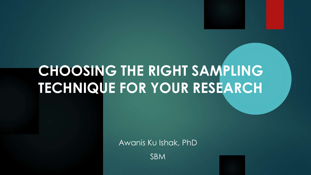# **CHOOSING THE RIGHT SAMPLING TECHNIQUE FOR YOUR RESEARCH**

Awanis Ku Ishak, PhD

SBM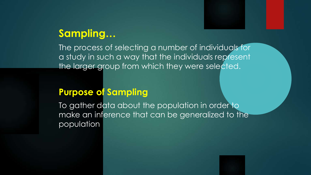#### **Sampling…**

The process of selecting a number of individuals for a study in such a way that the individuals represent the larger group from which they were selected.

#### **Purpose of Sampling**

To gather data about the population in order to make an inference that can be generalized to the population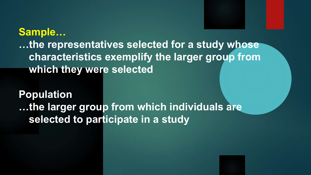**Sample… …the representatives selected for a study whose characteristics exemplify the larger group from which they were selected**

**Population …the larger group from which individuals are selected to participate in a study**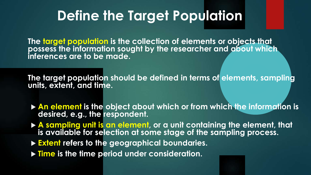## **Define the Target Population**

**The target population is the collection of elements or objects that possess the information sought by the researcher and about which inferences are to be made.** 

**The target population should be defined in terms of elements, sampling units, extent, and time.**

- **An element is the object about which or from which the information is desired, e.g., the respondent.**
- **A sampling unit is an element, or a unit containing the element, that is available for selection at some stage of the sampling process.**
- **Extent refers to the geographical boundaries.**
- **Time is the time period under consideration.**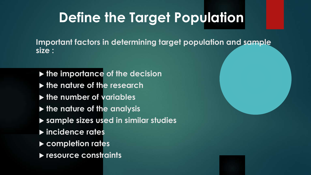# **Define the Target Population**

**Important factors in determining target population and sample size :**

- **the importance of the decision**
- **the nature of the research**
- **the number of variables**
- **the nature of the analysis**
- **sample sizes used in similar studies**
- **incidence rates**
- **completion rates**
- **resource constraints**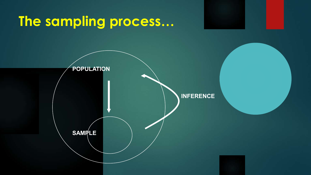## **The sampling process…**

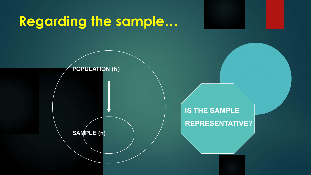# **Regarding the sample…**

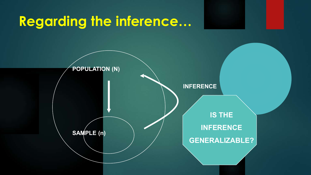## **Regarding the inference…**

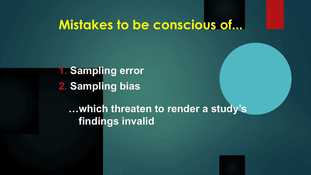### **Mistakes to be conscious of...**

**2. Sampling bias 1. Sampling error**

> **…which threaten to render a study's findings invalid**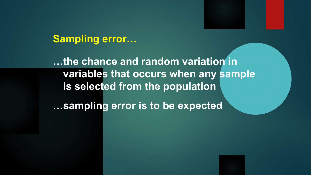#### **Sampling error…**

**…the chance and random variation in variables that occurs when any sample is selected from the population …sampling error is to be expected**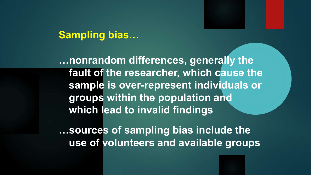#### **Sampling bias…**

**…nonrandom differences, generally the fault of the researcher, which cause the sample is over-represent individuals or groups within the population and which lead to invalid findings**

**…sources of sampling bias include the use of volunteers and available groups**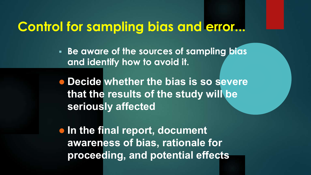### **Control for sampling bias and error...**

 **Be aware of the sources of sampling bias and identify how to avoid it.**

 **Decide whether the bias is so severe that the results of the study will be seriously affected**

**In the final report, document awareness of bias, rationale for proceeding, and potential effects**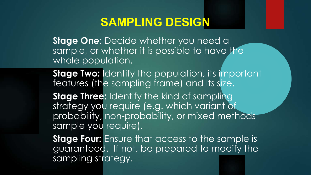#### **SAMPLING DESIGN**

**Stage One**: Decide whether you need a sample, or whether it is possible to have the whole population.

**Stage Two:** Identify the population, its important features (the sampling frame) and its size. **Stage Three:** Identify the kind of sampling strategy you require (e.g. which variant of probability, non-probability, or mixed methods sample you require).

**Stage Four:** Ensure that access to the sample is guaranteed. If not, be prepared to modify the sampling strategy.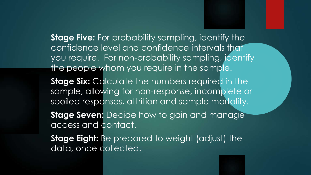**Stage Five:** For probability sampling, identify the confidence level and confidence intervals that you require. For non-probability sampling, identify the people whom you require in the sample. **Stage Six: Calculate the numbers required in the** sample, allowing for non-response, incomplete or spoiled responses, attrition and sample mortality.

**Stage Seven:** Decide how to gain and manage access and contact.

**Stage Eight:** Be prepared to weight (adjust) the data, once collected.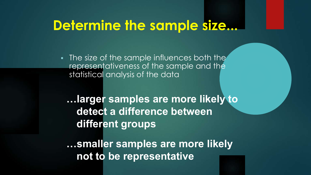### **Determine the sample size...**

**The size of the sample influences both the** representativeness of the sample and the statistical analysis of the data

**…larger samples are more likely to detect a difference between different groups**

**…smaller samples are more likely not to be representative**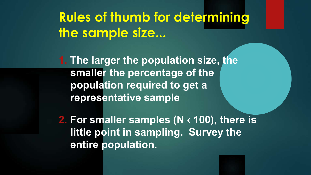## **Rules of thumb for determining the sample size...**

**1. The larger the population size, the smaller the percentage of the population required to get a representative sample**

**2. For smaller samples (N ‹ 100), there is little point in sampling. Survey the entire population.**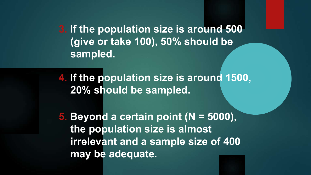**3. If the population size is around 500 (give or take 100), 50% should be sampled.**

**4. If the population size is around 1500, 20% should be sampled.**

**5. Beyond a certain point (N = 5000), the population size is almost irrelevant and a sample size of 400 may be adequate.**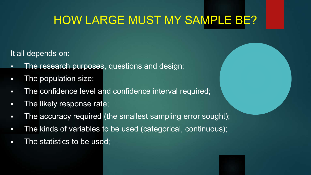### HOW LARGE MUST MY SAMPLE BE?

It all depends on:

- **The research purposes, questions and design;**
- **The population size;**
- **The confidence level and confidence interval required;**
- **The likely response rate;**
- The accuracy required (the smallest sampling error sought);
- **The kinds of variables to be used (categorical, continuous);**
- **The statistics to be used;**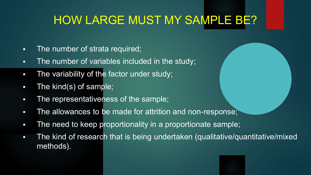### HOW LARGE MUST MY SAMPLE BE?

- **The number of strata required;**
- **The number of variables included in the study;**
- **The variability of the factor under study;**
- **The kind(s) of sample;**
- **The representativeness of the sample;**
- **The allowances to be made for attrition and non-response;**
- **The need to keep proportionality in a proportionate sample;**
- The kind of research that is being undertaken (qualitative/quantitative/mixed methods).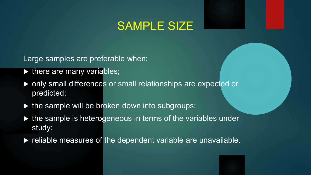#### SAMPLE SIZE

Large samples are preferable when:

- $\triangleright$  there are many variables;
- ▶ only small differences or small relationships are expected or predicted;
- $\triangleright$  the sample will be broken down into subgroups;
- $\triangleright$  the sample is heterogeneous in terms of the variables under study;
- $\blacktriangleright$  reliable measures of the dependent variable are unavailable.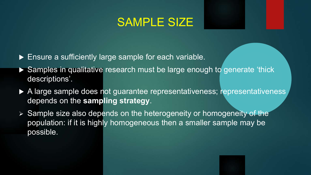#### SAMPLE SIZE

- ▶ Ensure a sufficiently large sample for each variable.
- ▶ Samples in qualitative research must be large enough to generate 'thick' descriptions'.
- ▶ A large sample does not guarantee representativeness; representativeness depends on the **sampling strategy**.
- $\triangleright$  Sample size also depends on the heterogeneity or homogeneity of the population: if it is highly homogeneous then a smaller sample may be possible.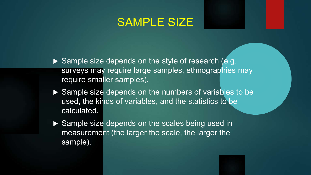#### SAMPLE SIZE

- Sample size depends on the style of research (e.g. surveys may require large samples, ethnographies may require smaller samples).
- Sample size depends on the numbers of variables to be used, the kinds of variables, and the statistics to be calculated.
- ▶ Sample size depends on the scales being used in measurement (the larger the scale, the larger the sample).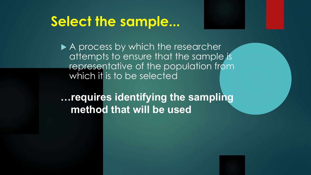### **Select the sample...**

A process by which the researcher attempts to ensure that the sample is representative of the population from which it is to be selected

**…requires identifying the sampling method that will be used**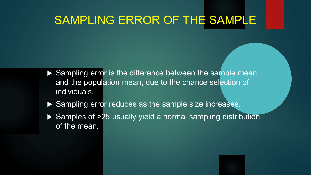#### SAMPLING ERROR OF THE SAMPLE

- ▶ Sampling error is the difference between the sample mean and the population mean, due to the chance selection of individuals.
- ▶ Sampling error reduces as the sample size increases.
- ▶ Samples of >25 usually yield a normal sampling distribution of the mean.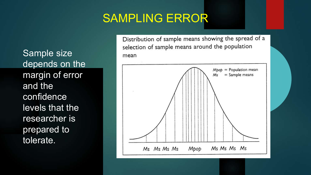#### SAMPLING ERROR

Sample size depends on the margin of error and the confidence levels that the researcher is prepared to tolerate.

Distribution of sample means showing the spread of a selection of sample means around the population mean

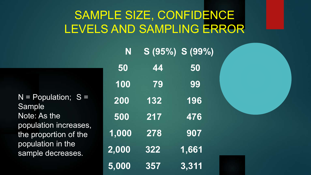### SAMPLE SIZE, CONFIDENCE LEVELS AND SAMPLING ERROR

 $N =$  Population;  $S =$ Sample Note: As the population increases, the proportion of the population in the sample decreases.

| N     |                  | $S(95\%) S(99\%)$ |
|-------|------------------|-------------------|
| 50    | 44               | 50                |
| 100   | 79               | 99                |
| 200   | 132              | 196               |
| 500   | $\overline{217}$ | 476               |
| 1,000 | 278              | 907               |
| 2,000 | <b>322</b>       | 1,661             |
| 5,000 | 357              | 3,311             |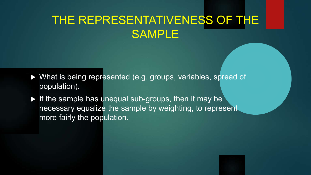### THE REPRESENTATIVENESS OF THE SAMPLE

- What is being represented (e.g. groups, variables, spread of population).
- $\blacktriangleright$  If the sample has unequal sub-groups, then it may be necessary equalize the sample by weighting, to represent more fairly the population.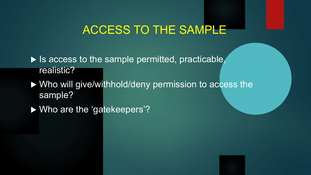#### ACCESS TO THE SAMPLE

 $\blacktriangleright$  Is access to the sample permitted, practicable, realistic?

 Who will give/withhold/deny permission to access the sample?

▶ Who are the 'gatekeepers'?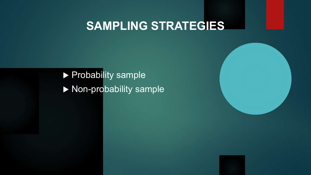### **SAMPLING STRATEGIES**

**Probability sample** Non-probability sample

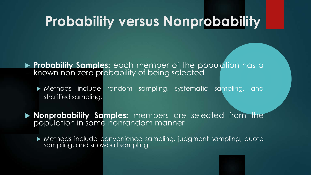### **Probability versus Nonprobability**

- **Probability Samples:** each member of the population has a known non-zero probability of being selected
	- Methods include random sampling, systematic sampling, and stratified sampling.
- **Nonprobability Samples:** members are selected from the population in some nonrandom manner
	- Methods include convenience sampling, judgment sampling, quota sampling, and snowball sampling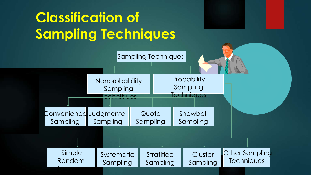# **Classification of Sampling Techniques**

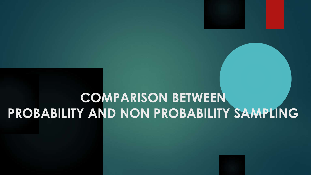# **COMPARISON BETWEEN PROBABILITY AND NON PROBABILITY SAMPLING**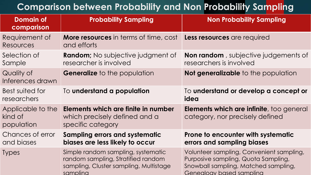#### **Comparison between Probability and Non Probability Sampling**

| <b>Domain of</b><br>comparison             | <b>Probability Sampling</b>                                                                                                    | <b>Non Probability Sampling</b>                                                                                                                     |
|--------------------------------------------|--------------------------------------------------------------------------------------------------------------------------------|-----------------------------------------------------------------------------------------------------------------------------------------------------|
| Requirement of<br>Resources                | <b>More resources</b> in terms of time, cost<br>and efforts                                                                    | Less resources are required                                                                                                                         |
| Selection of<br>Sample                     | <b>Random;</b> No subjective judgment of<br>researcher is involved                                                             | <b>Non random</b> , subjective judgements of<br>researchers is involved                                                                             |
| Quality of<br>Inferences drawn             | <b>Generalize</b> to the population                                                                                            | Not generalizable to the population                                                                                                                 |
| Best suited for<br>researchers             | To understand a population                                                                                                     | To understand or develop a concept or<br>idea                                                                                                       |
| Applicable to the<br>kind of<br>population | Elements which are finite in number<br>which precisely defined and a<br>specific category                                      | <b>Elements which are infinite</b> , too general<br>category, nor precisely defined                                                                 |
| Chances of error<br>and biases             | <b>Sampling errors and systematic</b><br>biases are less likely to occur                                                       | Prone to encounter with systematic<br>errors and sampling biases                                                                                    |
| <b>Types</b>                               | Simple random sampling, systematic<br>random sampling, Stratified random<br>sampling, Cluster sampling, Multistage<br>samplina | Volunteer sampling, Convenient sampling,<br>Purposive sampling, Quota Sampling,<br>Snowball sampling, Matched sampling,<br>Genealoay based samplina |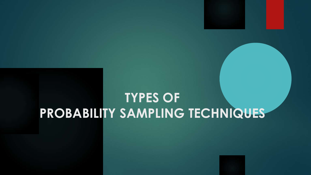### **TYPES OF PROBABILITY SAMPLING TECHNIQUES**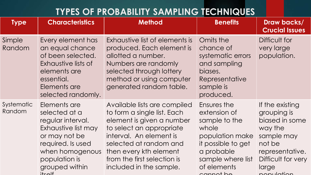#### **TYPES OF PROBABILITY SAMPLING TECHNIQUES**

| <b>Type</b>          | <b>Characteristics</b>                                                                                                                                                             | <b>Method</b>                                                                                                                                                                                                                                                 | <b>Benefits</b>                                                                                                                                               | Draw backs/<br><b>Crucial Issues</b>                                                                                                                |
|----------------------|------------------------------------------------------------------------------------------------------------------------------------------------------------------------------------|---------------------------------------------------------------------------------------------------------------------------------------------------------------------------------------------------------------------------------------------------------------|---------------------------------------------------------------------------------------------------------------------------------------------------------------|-----------------------------------------------------------------------------------------------------------------------------------------------------|
| Simple<br>Random     | Every element has<br>an equal chance<br>of been selected.<br>Exhaustive lists of<br>elements are<br>essential.<br>Elements are<br>selected randomly.                               | Exhaustive list of elements is<br>produced. Each element is<br>allotted a number.<br>Numbers are randomly<br>selected through lottery<br>method or using computer<br>generated random table.                                                                  | Omits the<br>chance of<br>systematic errors<br>and sampling<br>biases.<br>Representative<br>sample is<br>produced.                                            | Difficult for<br>very large<br>population.                                                                                                          |
| Systematic<br>Random | Elements are<br>selected at a<br>regular interval.<br>Exhaustive list may<br>or may not be<br>required. Is used<br>when homogenous<br>population is<br>grouped within<br>$it$ calf | Available lists are compiled<br>to form a single list. Each<br>element is given a number<br>to select an appropriate<br>interval. An element is<br>selected at random and<br>then every kth element<br>from the first selection is<br>included in the sample. | Ensures the<br>extension of<br>sample to the<br>whole<br>population make<br>it possible to get<br>a probable<br>sample where list<br>of elements<br>cannot ho | If the existing<br>grouping is<br>biased in some<br>way the<br>sample may<br>not be<br>representative.<br>Difficult for very<br>large<br>nopulation |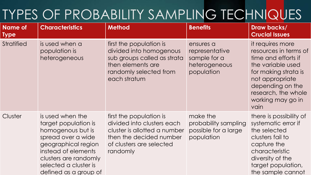# TYPES OF PROBABILITY SAMPLING TECHNIQUES

| <b>Name of</b><br><b>Type</b> | <b>Characteristics</b>                                                                                                                                                                                       | <b>Method</b>                                                                                                                                            | <b>Benefits</b>                                                            | Draw backs/<br><b>Crucial Issues</b>                                                                                                                                                                     |
|-------------------------------|--------------------------------------------------------------------------------------------------------------------------------------------------------------------------------------------------------------|----------------------------------------------------------------------------------------------------------------------------------------------------------|----------------------------------------------------------------------------|----------------------------------------------------------------------------------------------------------------------------------------------------------------------------------------------------------|
| <b>Stratified</b>             | is used when a<br>population is<br>heterogeneous                                                                                                                                                             | first the population is<br>divided into homogenous<br>sub groups called as strata<br>then elements are<br>randomly selected from<br>each stratum         | ensures a<br>representative<br>sample for a<br>heterogeneous<br>population | it requires more<br>resources in terms of<br>time and efforts if<br>the variable used<br>for making strata is<br>not appropriate<br>depending on the<br>research, the whole<br>working may go in<br>vain |
| Cluster                       | is used when the<br>target population is<br>homogenous but is<br>spread over a wide<br>geographical region<br>instead of elements<br>clusters are randomly<br>selected a cluster is<br>defined as a group of | first the population is<br>divided into clusters each<br>cluster is allotted a number<br>then the decided number<br>of clusters are selected<br>randomly | make the<br>probability sampling<br>possible for a large<br>population     | there is possibility of<br>systematic error if<br>the selected<br>clusters fail to<br>capture the<br>characteristic<br>diversity of the<br>target population,<br>the sample cannot                       |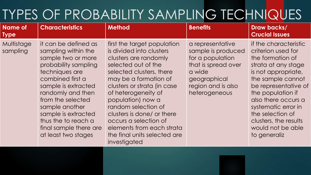## TYPES OF PROBABILITY SAMPLING TECHNIQUES

| <b>Name of</b><br><b>Type</b> | <b>Characteristics</b>                                                                                                                                                                                                                                                                                            | <b>Method</b>                                                                                                                                                                                                                                                                                                                                                                                       | <b>Benefits</b>                                                                                                                                    | Draw backs/<br><b>Crucial Issues</b>                                                                                                                                                                                                                                                                            |
|-------------------------------|-------------------------------------------------------------------------------------------------------------------------------------------------------------------------------------------------------------------------------------------------------------------------------------------------------------------|-----------------------------------------------------------------------------------------------------------------------------------------------------------------------------------------------------------------------------------------------------------------------------------------------------------------------------------------------------------------------------------------------------|----------------------------------------------------------------------------------------------------------------------------------------------------|-----------------------------------------------------------------------------------------------------------------------------------------------------------------------------------------------------------------------------------------------------------------------------------------------------------------|
| Multistage<br>sampling        | it can be defined as<br>sampling within the<br>sample two or more<br>probability sampling<br>techniques are<br>combined first a<br>sample is extracted<br>randomly and then<br>from the selected<br>sample another<br>sample is extracted<br>thus the to reach a<br>final sample there are<br>at least two stages | first the target population<br>is divided into clusters<br>clusters are randomly<br>selected out of the<br>selected clusters, there<br>may be a formation of<br>clusters or strata (in case)<br>of heterogeneity of<br>population) now a<br>random selection of<br>clusters is done/ or there<br>occurs a selection of<br>elements from each strata<br>the final units selected are<br>investigated | a representative<br>sample is produced<br>for a population<br>that is spread over<br>a wide<br>geographical<br>region and is also<br>heterogeneous | if the characteristic<br>criterion used for<br>the formation of<br>strata at any stage<br>is not appropriate,<br>the sample cannot<br>be representative of<br>the population if<br>also there occurs a<br>systematic error in<br>the selection of<br>clusters, the results<br>would not be able<br>to generaliz |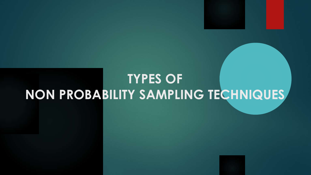## **TYPES OF NON PROBABILITY SAMPLING TECHNIQUES**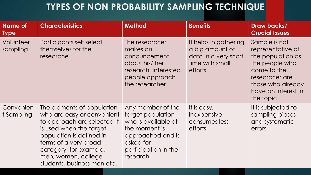#### **TYPES OF NON PROBABILITY SAMPLING TECHNIQUE**

| <b>Name of</b><br><b>Type</b> | <b>Characteristics</b>                                                                                                                                                                                                                                  | <b>Method</b>                                                                                                                                         | <b>Benefits</b>                                                                                | Draw backs/<br><b>Crucial Issues</b>                                                                                                                                |
|-------------------------------|---------------------------------------------------------------------------------------------------------------------------------------------------------------------------------------------------------------------------------------------------------|-------------------------------------------------------------------------------------------------------------------------------------------------------|------------------------------------------------------------------------------------------------|---------------------------------------------------------------------------------------------------------------------------------------------------------------------|
| Volunteer<br>sampling         | Participants self select<br>themselves for the<br>researche                                                                                                                                                                                             | The researcher<br>makes an<br>announcement<br>about his/ her<br>research. Interested<br>people approach<br>the researcher                             | It helps in gathering<br>a big amount of<br>data in a very short<br>time with small<br>efforts | Sample is not<br>representative of<br>the population as<br>the people who<br>come to the<br>researcher are<br>those who already<br>have an interest in<br>the topic |
| Convenien<br>t Sampling       | The elements of population<br>who are easy or convenient<br>to approach are selected It<br>is used when the target<br>population is defined in<br>terms of a very broad<br>category; for example,<br>men, women, college<br>students, business men etc. | Any member of the<br>target population<br>who is available at<br>the moment is<br>approached and is<br>asked for<br>participation in the<br>research. | It is easy,<br>inexpensive,<br>consumes less<br>efforts.                                       | It is subjected to<br>sampling biases<br>and systematic<br>errors.                                                                                                  |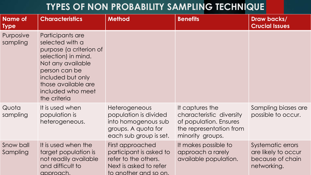#### **TYPES OF NON PROBABILITY SAMPLING TECHNIQUE**

| <b>Name of</b><br><b>Type</b> | <b>Characteristics</b>                                                                                                                                                                                       | <b>Method</b>                                                                                                          | <b>Benefits</b>                                                                                                      | Draw backs/<br><b>Crucial Issues</b>                                        |
|-------------------------------|--------------------------------------------------------------------------------------------------------------------------------------------------------------------------------------------------------------|------------------------------------------------------------------------------------------------------------------------|----------------------------------------------------------------------------------------------------------------------|-----------------------------------------------------------------------------|
| Purposive<br>sampling         | Participants are<br>selected with a<br>purpose (a criterion of<br>selection) in mind.<br>Not any available<br>person can be<br>included but only<br>those available are<br>included who meet<br>the criteria |                                                                                                                        |                                                                                                                      |                                                                             |
| Quota<br>sampling             | It is used when<br>population is<br>heterogeneous.                                                                                                                                                           | Heterogeneous<br>population is divided<br>into homogenous sub<br>groups. A quota for<br>each sub group is set.         | It captures the<br>characteristic diversity<br>of population. Ensures<br>the representation from<br>minority groups. | Sampling biases are<br>possible to occur.                                   |
| Snow ball<br>Sampling         | It is used when the<br>target population is<br>not readily available<br>and difficult to<br>approach.                                                                                                        | First approached<br>participant is asked to<br>refer to the others.<br>Next is asked to refer<br>to another and so on. | It makes possible to<br>approach a rarely<br>available population.                                                   | Systematic errors<br>are likely to occur<br>because of chain<br>networking. |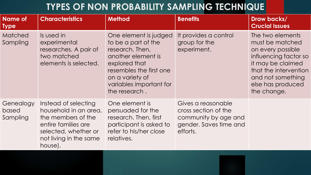#### **TYPES OF NON PROBABILITY SAMPLING TECHNIQUE**

| <b>Name of</b><br><b>Type</b>  | <b>Characteristics</b>                                                                                                                                  | <b>Method</b>                                                                                                                                                                                    | <b>Benefits</b>                                                                                          | Draw backs/<br><b>Crucial Issues</b>                                                                                                                                                     |
|--------------------------------|---------------------------------------------------------------------------------------------------------------------------------------------------------|--------------------------------------------------------------------------------------------------------------------------------------------------------------------------------------------------|----------------------------------------------------------------------------------------------------------|------------------------------------------------------------------------------------------------------------------------------------------------------------------------------------------|
| Matched<br>Sampling            | Is used in<br>experimental<br>researches. A pair of<br>two matched<br>elements is selected.                                                             | One element is judged<br>to be a part of the<br>research. Then,<br>another element is<br>explored that<br>resembles the first one<br>on a variety of<br>variables important for<br>the research. | It provides a control<br>group for the<br>experiment.                                                    | The two elements<br>must be matched<br>on every possible<br>influencing factor so<br>it may be claimed<br>that the intervention<br>and not something<br>else has produced<br>the change. |
| Genealogy<br>based<br>Sampling | Instead of selecting<br>household in an area,<br>the members of the<br>entire families are<br>selected, whether or<br>not living in the same<br>house). | One element is<br>persuaded for the<br>research. Then, first<br>participant is asked to<br>refer to his/her close<br>relatives.                                                                  | Gives a reasonable<br>cross section of the<br>community by age and<br>gender. Saves time and<br>efforts. |                                                                                                                                                                                          |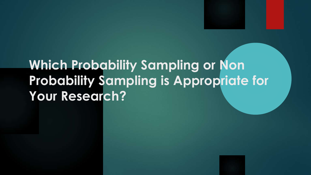# **Which Probability Sampling or Non Probability Sampling is Appropriate for Your Research?**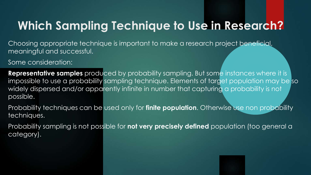### **Which Sampling Technique to Use in Research?**

Choosing appropriate technique is important to make a research project beneficial, meaningful and successful.

#### Some consideration:

**Representative samples** produced by probability sampling. But some instances where it is impossible to use a probability sampling technique. Elements of target population may be so widely dispersed and/or apparently infinite in number that capturing a probability is not possible.

Probability techniques can be used only for **finite population**. Otherwise use non probability techniques.

Probability sampling is not possible for **not very precisely defined** population (too general a category).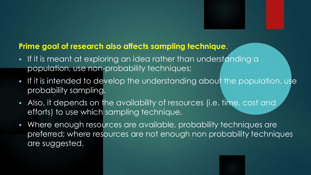#### **Prime goal of research also affects sampling technique**.

- If it is meant at exploring an idea rather than understanding a population, use non-probability techniques;
- If it is intended to develop the understanding about the population, use probability sampling.
- Also, it depends on the availability of resources (i.e. time, cost and efforts) to use which sampling technique.
- Where enough resources are available, probability techniques are preferred; where resources are not enough non probability techniques are suggested.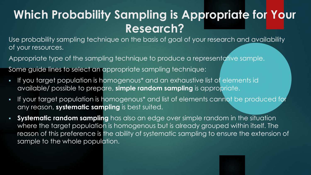### **Which Probability Sampling is Appropriate for Your Research?**

Use probability sampling technique on the basis of goal of your research and availability of your resources.

Appropriate type of the sampling technique to produce a representative sample.

Some guide lines to select an appropriate sampling technique:

- If you target population is homogenous\* and an exhaustive list of elements id available/ possible to prepare, **simple random sampling** is appropriate.
- If your target population is homogenous\* and list of elements cannot be produced for any reason, **systematic sampling** is best suited.
- **Systematic random sampling** has also an edge over simple random in the situation where the target population is homogenous but is already grouped within itself. The reason of this preference is the ability of systematic sampling to ensure the extension of sample to the whole population.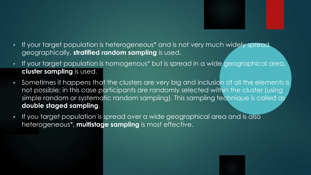- If your target population is heterogeneous\* and is not very much widely spread geographically, **stratified random sampling** is used.
- If your target population is homogenous\* but is spread in a wide geographical area, **cluster sampling** is used.
- Sometimes it happens that the clusters are very big and inclusion of all the elements is not possible; in this case participants are randomly selected within the cluster (using simple random or systematic random sampling). This sampling technique is called as **double staged sampling**.
- If you target population is spread over a wide geographical area and is also heterogeneous\*, **multistage sampling** is most effective.